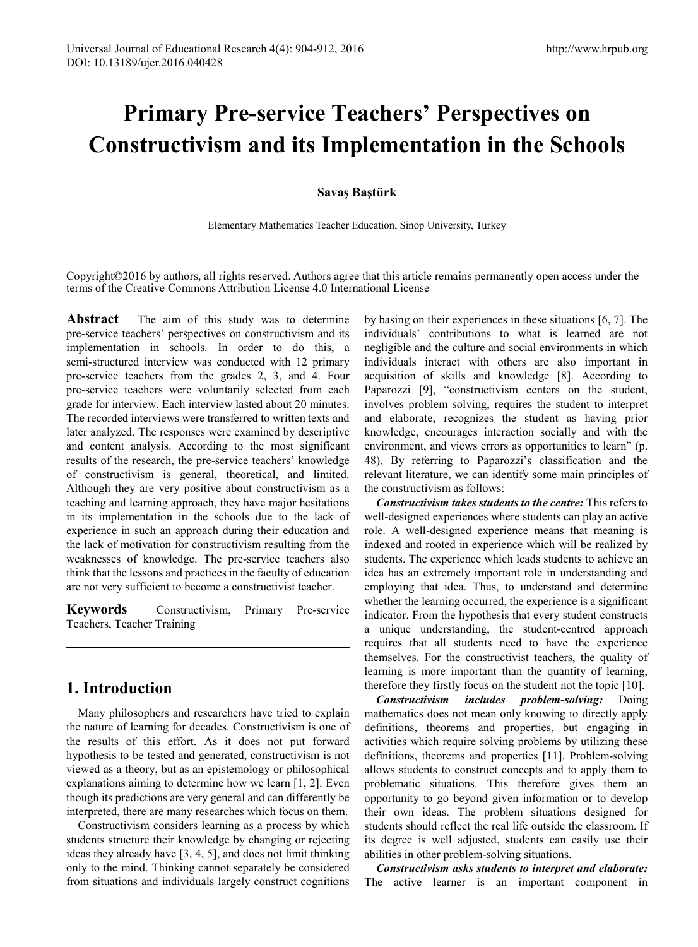# **Primary Pre-service Teachers' Perspectives on Constructivism and its Implementation in the Schools**

#### **Savaş Baştürk**

Elementary Mathematics Teacher Education, Sinop University, Turkey

Copyright©2016 by authors, all rights reserved. Authors agree that this article remains permanently open access under the terms of the Creative Commons Attribution License 4.0 International License

Abstract The aim of this study was to determine pre-service teachers' perspectives on constructivism and its implementation in schools. In order to do this, a semi-structured interview was conducted with 12 primary pre-service teachers from the grades 2, 3, and 4. Four pre-service teachers were voluntarily selected from each grade for interview. Each interview lasted about 20 minutes. The recorded interviews were transferred to written texts and later analyzed. The responses were examined by descriptive and content analysis. According to the most significant results of the research, the pre-service teachers' knowledge of constructivism is general, theoretical, and limited. Although they are very positive about constructivism as a teaching and learning approach, they have major hesitations in its implementation in the schools due to the lack of experience in such an approach during their education and the lack of motivation for constructivism resulting from the weaknesses of knowledge. The pre-service teachers also think that the lessons and practices in the faculty of education are not very sufficient to become a constructivist teacher.

**Keywords** Constructivism, Primary Pre-service Teachers, Teacher Training

# **1. Introduction**

Many philosophers and researchers have tried to explain the nature of learning for decades. Constructivism is one of the results of this effort. As it does not put forward hypothesis to be tested and generated, constructivism is not viewed as a theory, but as an epistemology or philosophical explanations aiming to determine how we learn [1, 2]. Even though its predictions are very general and can differently be interpreted, there are many researches which focus on them.

Constructivism considers learning as a process by which students structure their knowledge by changing or rejecting ideas they already have [3, 4, 5], and does not limit thinking only to the mind. Thinking cannot separately be considered from situations and individuals largely construct cognitions

by basing on their experiences in these situations [6, 7]. The individuals' contributions to what is learned are not negligible and the culture and social environments in which individuals interact with others are also important in acquisition of skills and knowledge [8]. According to Paparozzi [9], "constructivism centers on the student, involves problem solving, requires the student to interpret and elaborate, recognizes the student as having prior knowledge, encourages interaction socially and with the environment, and views errors as opportunities to learn" (p. 48). By referring to Paparozzi's classification and the relevant literature, we can identify some main principles of the constructivism as follows:

*Constructivism takes students to the centre:* This refers to well-designed experiences where students can play an active role. A well-designed experience means that meaning is indexed and rooted in experience which will be realized by students. The experience which leads students to achieve an idea has an extremely important role in understanding and employing that idea. Thus, to understand and determine whether the learning occurred, the experience is a significant indicator. From the hypothesis that every student constructs a unique understanding, the student-centred approach requires that all students need to have the experience themselves. For the constructivist teachers, the quality of learning is more important than the quantity of learning, therefore they firstly focus on the student not the topic [10].

*Constructivism includes problem-solving:* Doing mathematics does not mean only knowing to directly apply definitions, theorems and properties, but engaging in activities which require solving problems by utilizing these definitions, theorems and properties [11]. Problem-solving allows students to construct concepts and to apply them to problematic situations. This therefore gives them an opportunity to go beyond given information or to develop their own ideas. The problem situations designed for students should reflect the real life outside the classroom. If its degree is well adjusted, students can easily use their abilities in other problem-solving situations.

*Constructivism asks students to interpret and elaborate:* The active learner is an important component in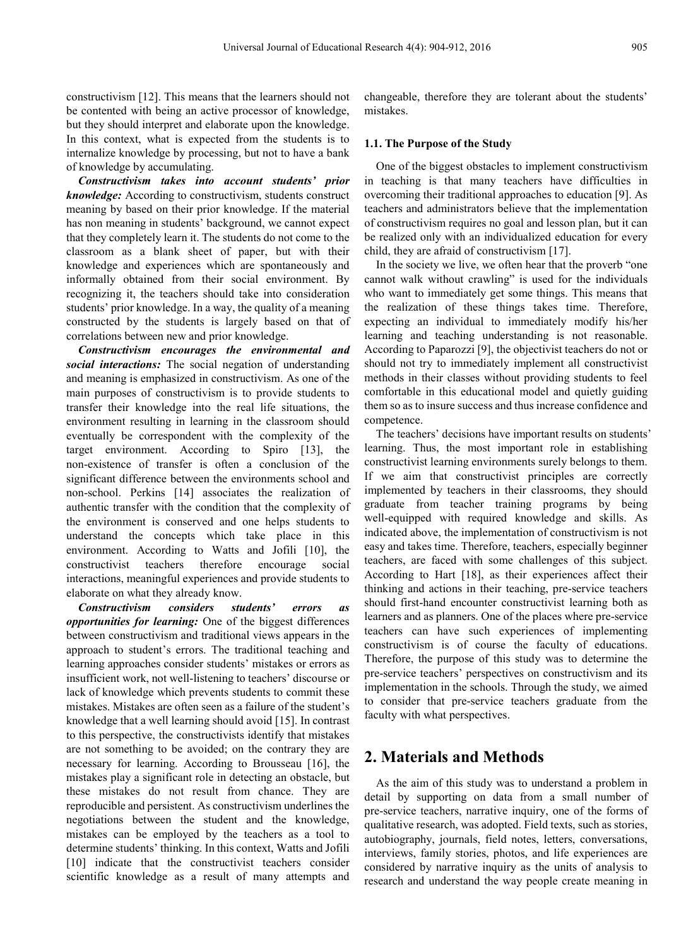constructivism [12]. This means that the learners should not be contented with being an active processor of knowledge, but they should interpret and elaborate upon the knowledge. In this context, what is expected from the students is to internalize knowledge by processing, but not to have a bank of knowledge by accumulating.

*Constructivism takes into account students' prior knowledge:* According to constructivism, students construct meaning by based on their prior knowledge. If the material has non meaning in students' background, we cannot expect that they completely learn it. The students do not come to the classroom as a blank sheet of paper, but with their knowledge and experiences which are spontaneously and informally obtained from their social environment. By recognizing it, the teachers should take into consideration students' prior knowledge. In a way, the quality of a meaning constructed by the students is largely based on that of correlations between new and prior knowledge.

*Constructivism encourages the environmental and social interactions:* The social negation of understanding and meaning is emphasized in constructivism. As one of the main purposes of constructivism is to provide students to transfer their knowledge into the real life situations, the environment resulting in learning in the classroom should eventually be correspondent with the complexity of the target environment. According to Spiro [13], the non-existence of transfer is often a conclusion of the significant difference between the environments school and non-school. Perkins [14] associates the realization of authentic transfer with the condition that the complexity of the environment is conserved and one helps students to understand the concepts which take place in this environment. According to Watts and Jofili [10], the constructivist teachers therefore encourage social interactions, meaningful experiences and provide students to elaborate on what they already know.

*Constructivism considers students' errors as opportunities for learning:* One of the biggest differences between constructivism and traditional views appears in the approach to student's errors. The traditional teaching and learning approaches consider students' mistakes or errors as insufficient work, not well-listening to teachers' discourse or lack of knowledge which prevents students to commit these mistakes. Mistakes are often seen as a failure of the student's knowledge that a well learning should avoid [15]. In contrast to this perspective, the constructivists identify that mistakes are not something to be avoided; on the contrary they are necessary for learning. According to Brousseau [16], the mistakes play a significant role in detecting an obstacle, but these mistakes do not result from chance. They are reproducible and persistent. As constructivism underlines the negotiations between the student and the knowledge, mistakes can be employed by the teachers as a tool to determine students' thinking. In this context, Watts and Jofili [10] indicate that the constructivist teachers consider scientific knowledge as a result of many attempts and

changeable, therefore they are tolerant about the students' mistakes.

#### **1.1. The Purpose of the Study**

One of the biggest obstacles to implement constructivism in teaching is that many teachers have difficulties in overcoming their traditional approaches to education [9]. As teachers and administrators believe that the implementation of constructivism requires no goal and lesson plan, but it can be realized only with an individualized education for every child, they are afraid of constructivism [17].

In the society we live, we often hear that the proverb "one cannot walk without crawling" is used for the individuals who want to immediately get some things. This means that the realization of these things takes time. Therefore, expecting an individual to immediately modify his/her learning and teaching understanding is not reasonable. According to Paparozzi [9], the objectivist teachers do not or should not try to immediately implement all constructivist methods in their classes without providing students to feel comfortable in this educational model and quietly guiding them so as to insure success and thus increase confidence and competence.

The teachers' decisions have important results on students' learning. Thus, the most important role in establishing constructivist learning environments surely belongs to them. If we aim that constructivist principles are correctly implemented by teachers in their classrooms, they should graduate from teacher training programs by being well-equipped with required knowledge and skills. As indicated above, the implementation of constructivism is not easy and takes time. Therefore, teachers, especially beginner teachers, are faced with some challenges of this subject. According to Hart [18], as their experiences affect their thinking and actions in their teaching, pre-service teachers should first-hand encounter constructivist learning both as learners and as planners. One of the places where pre-service teachers can have such experiences of implementing constructivism is of course the faculty of educations. Therefore, the purpose of this study was to determine the pre-service teachers' perspectives on constructivism and its implementation in the schools. Through the study, we aimed to consider that pre-service teachers graduate from the faculty with what perspectives.

## **2. Materials and Methods**

As the aim of this study was to understand a problem in detail by supporting on data from a small number of pre-service teachers, narrative inquiry, one of the forms of qualitative research, was adopted. Field texts, such as stories, autobiography, journals, field notes, letters, conversations, interviews, family stories, photos, and life experiences are considered by narrative inquiry as the units of analysis to research and understand the way people create meaning in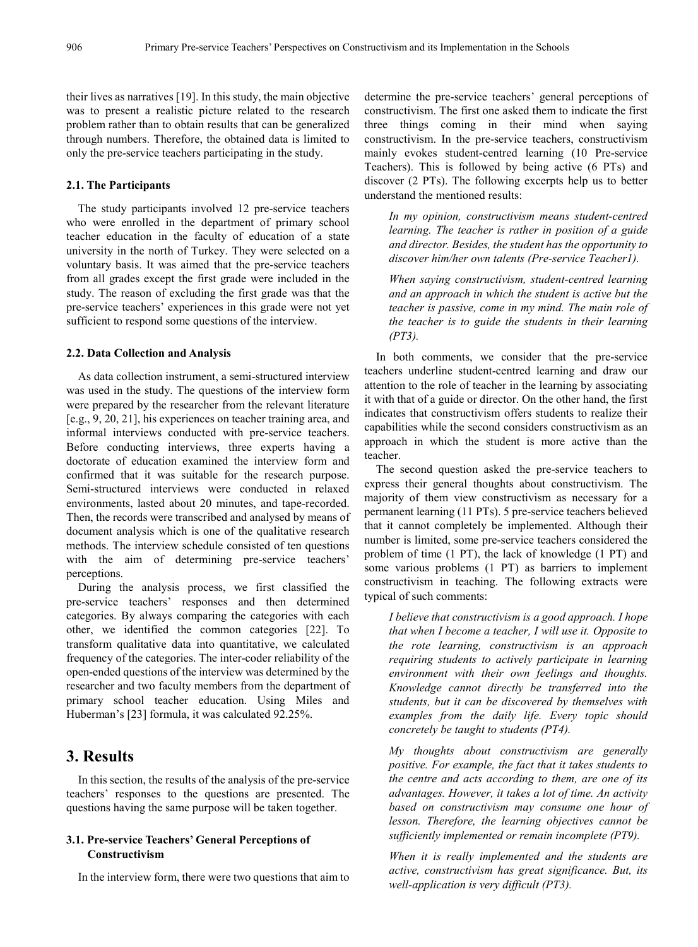their lives as narratives [19]. In this study, the main objective was to present a realistic picture related to the research problem rather than to obtain results that can be generalized through numbers. Therefore, the obtained data is limited to only the pre-service teachers participating in the study.

#### **2.1. The Participants**

The study participants involved 12 pre-service teachers who were enrolled in the department of primary school teacher education in the faculty of education of a state university in the north of Turkey. They were selected on a voluntary basis. It was aimed that the pre-service teachers from all grades except the first grade were included in the study. The reason of excluding the first grade was that the pre-service teachers' experiences in this grade were not yet sufficient to respond some questions of the interview.

#### **2.2. Data Collection and Analysis**

As data collection instrument, a semi-structured interview was used in the study. The questions of the interview form were prepared by the researcher from the relevant literature [e.g., 9, 20, 21], his experiences on teacher training area, and informal interviews conducted with pre-service teachers. Before conducting interviews, three experts having a doctorate of education examined the interview form and confirmed that it was suitable for the research purpose. Semi-structured interviews were conducted in relaxed environments, lasted about 20 minutes, and tape-recorded. Then, the records were transcribed and analysed by means of document analysis which is one of the qualitative research methods. The interview schedule consisted of ten questions with the aim of determining pre-service teachers' perceptions.

During the analysis process, we first classified the pre-service teachers' responses and then determined categories. By always comparing the categories with each other, we identified the common categories [22]. To transform qualitative data into quantitative, we calculated frequency of the categories. The inter-coder reliability of the open-ended questions of the interview was determined by the researcher and two faculty members from the department of primary school teacher education. Using Miles and Huberman's [23] formula, it was calculated 92.25%.

# **3. Results**

In this section, the results of the analysis of the pre-service teachers' responses to the questions are presented. The questions having the same purpose will be taken together.

#### **3.1. Pre-service Teachers' General Perceptions of Constructivism**

In the interview form, there were two questions that aim to

determine the pre-service teachers' general perceptions of constructivism. The first one asked them to indicate the first three things coming in their mind when saying constructivism. In the pre-service teachers, constructivism mainly evokes student-centred learning (10 Pre-service Teachers). This is followed by being active (6 PTs) and discover (2 PTs). The following excerpts help us to better understand the mentioned results:

*In my opinion, constructivism means student-centred learning. The teacher is rather in position of a guide and director. Besides, the student has the opportunity to discover him/her own talents (Pre-service Teacher1).*

*When saying constructivism, student-centred learning and an approach in which the student is active but the teacher is passive, come in my mind. The main role of the teacher is to guide the students in their learning (PT3).*

In both comments, we consider that the pre-service teachers underline student-centred learning and draw our attention to the role of teacher in the learning by associating it with that of a guide or director. On the other hand, the first indicates that constructivism offers students to realize their capabilities while the second considers constructivism as an approach in which the student is more active than the teacher.

The second question asked the pre-service teachers to express their general thoughts about constructivism. The majority of them view constructivism as necessary for a permanent learning (11 PTs). 5 pre-service teachers believed that it cannot completely be implemented. Although their number is limited, some pre-service teachers considered the problem of time (1 PT), the lack of knowledge (1 PT) and some various problems (1 PT) as barriers to implement constructivism in teaching. The following extracts were typical of such comments:

*I believe that constructivism is a good approach. I hope that when I become a teacher, I will use it. Opposite to the rote learning, constructivism is an approach requiring students to actively participate in learning environment with their own feelings and thoughts. Knowledge cannot directly be transferred into the students, but it can be discovered by themselves with examples from the daily life. Every topic should concretely be taught to students (PT4).*

*My thoughts about constructivism are generally positive. For example, the fact that it takes students to the centre and acts according to them, are one of its advantages. However, it takes a lot of time. An activity based on constructivism may consume one hour of lesson. Therefore, the learning objectives cannot be sufficiently implemented or remain incomplete (PT9).*

*When it is really implemented and the students are active, constructivism has great significance. But, its well-application is very difficult (PT3).*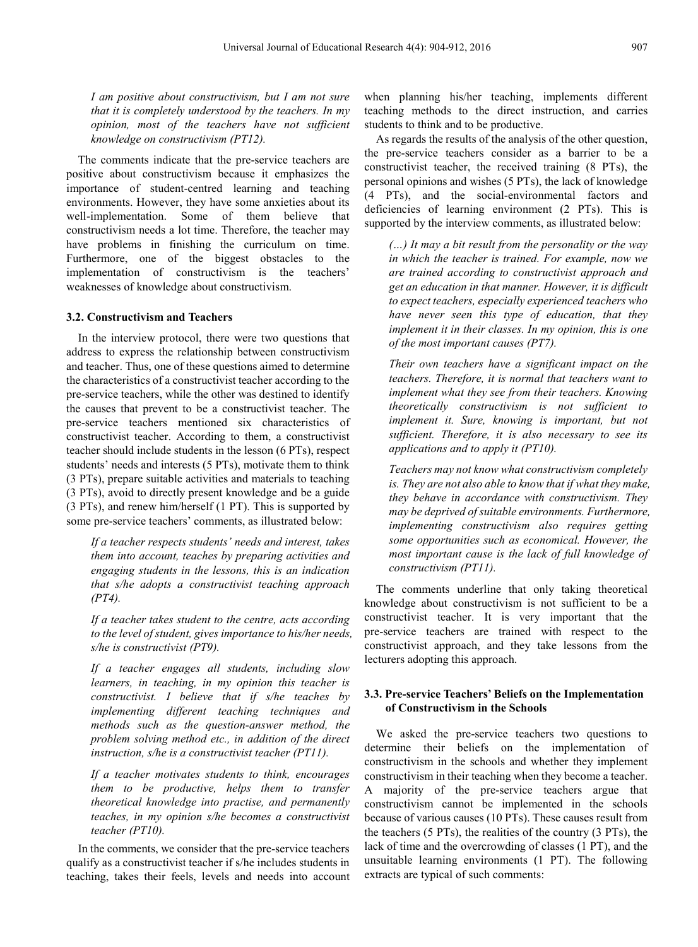*I am positive about constructivism, but I am not sure that it is completely understood by the teachers. In my opinion, most of the teachers have not sufficient knowledge on constructivism (PT12).*

The comments indicate that the pre-service teachers are positive about constructivism because it emphasizes the importance of student-centred learning and teaching environments. However, they have some anxieties about its well-implementation. Some of them believe that constructivism needs a lot time. Therefore, the teacher may have problems in finishing the curriculum on time. Furthermore, one of the biggest obstacles to the implementation of constructivism is the teachers' weaknesses of knowledge about constructivism.

#### **3.2. Constructivism and Teachers**

In the interview protocol, there were two questions that address to express the relationship between constructivism and teacher. Thus, one of these questions aimed to determine the characteristics of a constructivist teacher according to the pre-service teachers, while the other was destined to identify the causes that prevent to be a constructivist teacher. The pre-service teachers mentioned six characteristics of constructivist teacher. According to them, a constructivist teacher should include students in the lesson (6 PTs), respect students' needs and interests (5 PTs), motivate them to think (3 PTs), prepare suitable activities and materials to teaching (3 PTs), avoid to directly present knowledge and be a guide (3 PTs), and renew him/herself (1 PT). This is supported by some pre-service teachers' comments, as illustrated below:

*If a teacher respects students' needs and interest, takes them into account, teaches by preparing activities and engaging students in the lessons, this is an indication that s/he adopts a constructivist teaching approach (PT4).*

*If a teacher takes student to the centre, acts according to the level of student, gives importance to his/her needs, s/he is constructivist (PT9).*

*If a teacher engages all students, including slow learners, in teaching, in my opinion this teacher is constructivist. I believe that if s/he teaches by implementing different teaching techniques and methods such as the question-answer method, the problem solving method etc., in addition of the direct instruction, s/he is a constructivist teacher (PT11).* 

*If a teacher motivates students to think, encourages them to be productive, helps them to transfer theoretical knowledge into practise, and permanently teaches, in my opinion s/he becomes a constructivist teacher (PT10).*

In the comments, we consider that the pre-service teachers qualify as a constructivist teacher if s/he includes students in teaching, takes their feels, levels and needs into account

when planning his/her teaching, implements different teaching methods to the direct instruction, and carries students to think and to be productive.

As regards the results of the analysis of the other question, the pre-service teachers consider as a barrier to be a constructivist teacher, the received training (8 PTs), the personal opinions and wishes (5 PTs), the lack of knowledge (4 PTs), and the social-environmental factors and deficiencies of learning environment (2 PTs). This is supported by the interview comments, as illustrated below:

*(…) It may a bit result from the personality or the way in which the teacher is trained. For example, now we are trained according to constructivist approach and get an education in that manner. However, it is difficult to expect teachers, especially experienced teachers who have never seen this type of education, that they implement it in their classes. In my opinion, this is one of the most important causes (PT7).*

*Their own teachers have a significant impact on the teachers. Therefore, it is normal that teachers want to implement what they see from their teachers. Knowing theoretically constructivism is not sufficient to implement it. Sure, knowing is important, but not sufficient. Therefore, it is also necessary to see its applications and to apply it (PT10).*

*Teachers may not know what constructivism completely is. They are not also able to know that if what they make, they behave in accordance with constructivism. They may be deprived of suitable environments. Furthermore, implementing constructivism also requires getting some opportunities such as economical. However, the most important cause is the lack of full knowledge of constructivism (PT11).*

The comments underline that only taking theoretical knowledge about constructivism is not sufficient to be a constructivist teacher. It is very important that the pre-service teachers are trained with respect to the constructivist approach, and they take lessons from the lecturers adopting this approach.

#### **3.3. Pre-service Teachers' Beliefs on the Implementation of Constructivism in the Schools**

We asked the pre-service teachers two questions to determine their beliefs on the implementation of constructivism in the schools and whether they implement constructivism in their teaching when they become a teacher. A majority of the pre-service teachers argue that constructivism cannot be implemented in the schools because of various causes (10 PTs). These causes result from the teachers (5 PTs), the realities of the country (3 PTs), the lack of time and the overcrowding of classes (1 PT), and the unsuitable learning environments (1 PT). The following extracts are typical of such comments: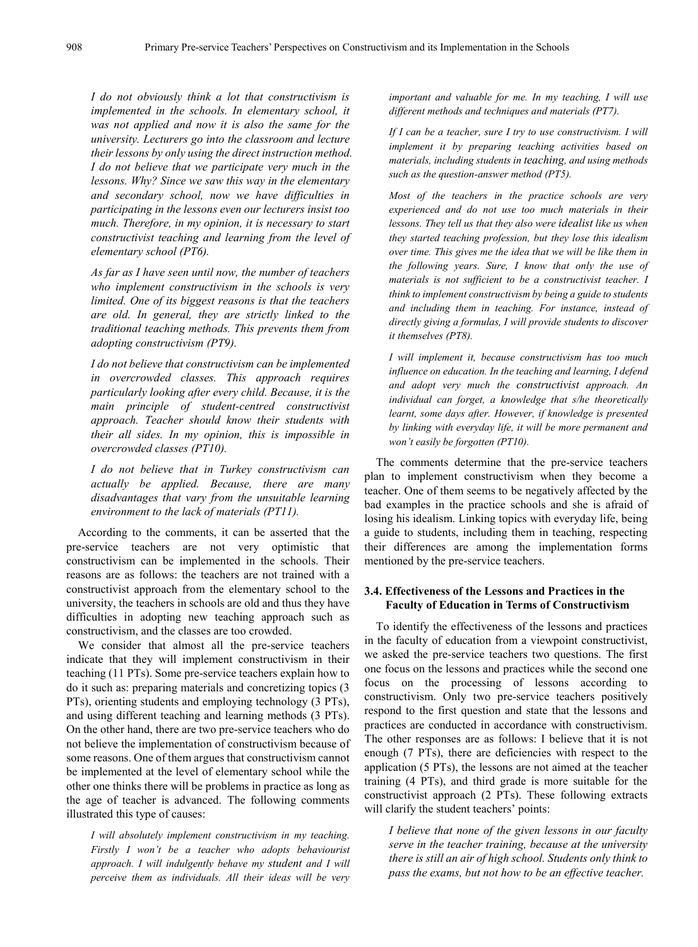*I do not obviously think a lot that constructivism is implemented in the schools. In elementary school, it was not applied and now it is also the same for the university. Lecturers go into the classroom and lecture their lessons by only using the direct instruction method. I do not believe that we participate very much in the lessons. Why? Since we saw this way in the elementary and secondary school, now we have difficulties in participating in the lessons even our lecturers insist too much. Therefore, in my opinion, it is necessary to start constructivist teaching and learning from the level of elementary school (PT6).*

*As far as I have seen until now, the number of teachers who implement constructivism in the schools is very limited. One of its biggest reasons is that the teachers are old. In general, they are strictly linked to the traditional teaching methods. This prevents them from adopting constructivism (PT9).*

*I do not believe that constructivism can be implemented in overcrowded classes. This approach requires particularly looking after every child. Because, it is the main principle of student-centred constructivist approach. Teacher should know their students with their all sides. In my opinion, this is impossible in overcrowded classes (PT10).*

*I do not believe that in Turkey constructivism can actually be applied. Because, there are many disadvantages that vary from the unsuitable learning environment to the lack of materials (PT11).*

According to the comments, it can be asserted that the pre-service teachers are not very optimistic that constructivism can be implemented in the schools. Their reasons are as follows: the teachers are not trained with a constructivist approach from the elementary school to the university, the teachers in schools are old and thus they have difficulties in adopting new teaching approach such as constructivism, and the classes are too crowded.

We consider that almost all the pre-service teachers indicate that they will implement constructivism in their teaching (11 PTs). Some pre-service teachers explain how to do it such as: preparing materials and concretizing topics (3 PTs), orienting students and employing technology (3 PTs), and using different teaching and learning methods (3 PTs). On the other hand, there are two pre-service teachers who do not believe the implementation of constructivism because of some reasons. One of them argues that constructivism cannot be implemented at the level of elementary school while the other one thinks there will be problems in practice as long as the age of teacher is advanced. The following comments illustrated this type of causes:

*I will absolutely implement constructivism in my teaching. Firstly I won't be a teacher who adopts behaviourist approach. I will indulgently behave my student and I will perceive them as individuals. All their ideas will be very*  *important and valuable for me. In my teaching, I will use different methods and techniques and materials (PT7).*

*If I can be a teacher, sure I try to use constructivism. I will implement it by preparing teaching activities based on materials, including students in teaching, and using methods such as the question-answer method (PT5).*

*Most of the teachers in the practice schools are very experienced and do not use too much materials in their lessons. They tell us that they also were idealist like us when they started teaching profession, but they lose this idealism over time. This gives me the idea that we will be like them in the following years. Sure, I know that only the use of materials is not sufficient to be a constructivist teacher. I think to implement constructivism by being a guide to students and including them in teaching. For instance, instead of directly giving a formulas, I will provide students to discover it themselves (PT8).*

*I will implement it, because constructivism has too much influence on education. In the teaching and learning, I defend and adopt very much the constructivist approach. An individual can forget, a knowledge that s/he theoretically learnt, some days after. However, if knowledge is presented by linking with everyday life, it will be more permanent and won't easily be forgotten (PT10).* 

The comments determine that the pre-service teachers plan to implement constructivism when they become a teacher. One of them seems to be negatively affected by the bad examples in the practice schools and she is afraid of losing his idealism. Linking topics with everyday life, being a guide to students, including them in teaching, respecting their differences are among the implementation forms mentioned by the pre-service teachers.

#### **3.4. Effectiveness of the Lessons and Practices in the Faculty of Education in Terms of Constructivism**

To identify the effectiveness of the lessons and practices in the faculty of education from a viewpoint constructivist, we asked the pre-service teachers two questions. The first one focus on the lessons and practices while the second one focus on the processing of lessons according to constructivism. Only two pre-service teachers positively respond to the first question and state that the lessons and practices are conducted in accordance with constructivism. The other responses are as follows: I believe that it is not enough (7 PTs), there are deficiencies with respect to the application (5 PTs), the lessons are not aimed at the teacher training (4 PTs), and third grade is more suitable for the constructivist approach (2 PTs). These following extracts will clarify the student teachers' points:

*I believe that none of the given lessons in our faculty serve in the teacher training, because at the university there is still an air of high school. Students only think to pass the exams, but not how to be an effective teacher.*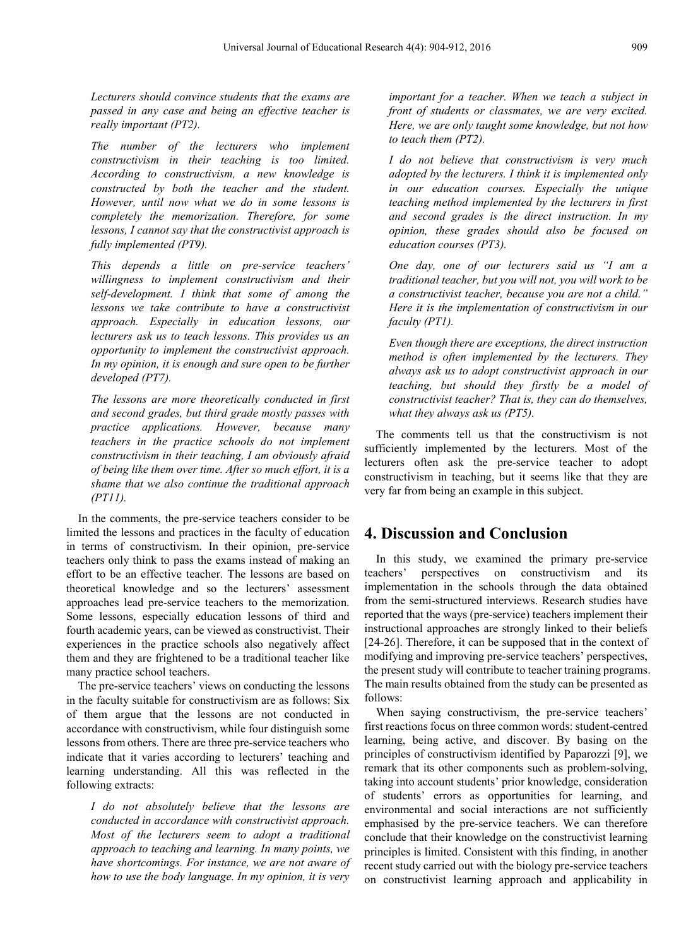*Lecturers should convince students that the exams are passed in any case and being an effective teacher is really important (PT2).*

*The number of the lecturers who implement constructivism in their teaching is too limited. According to constructivism, a new knowledge is constructed by both the teacher and the student. However, until now what we do in some lessons is completely the memorization. Therefore, for some lessons, I cannot say that the constructivist approach is fully implemented (PT9).*

*This depends a little on pre-service teachers' willingness to implement constructivism and their self-development. I think that some of among the lessons we take contribute to have a constructivist approach. Especially in education lessons, our lecturers ask us to teach lessons. This provides us an opportunity to implement the constructivist approach. In my opinion, it is enough and sure open to be further developed (PT7).*

*The lessons are more theoretically conducted in first and second grades, but third grade mostly passes with practice applications. However, because many teachers in the practice schools do not implement constructivism in their teaching, I am obviously afraid of being like them over time. After so much effort, it is a shame that we also continue the traditional approach (PT11).*

In the comments, the pre-service teachers consider to be limited the lessons and practices in the faculty of education in terms of constructivism. In their opinion, pre-service teachers only think to pass the exams instead of making an effort to be an effective teacher. The lessons are based on theoretical knowledge and so the lecturers' assessment approaches lead pre-service teachers to the memorization. Some lessons, especially education lessons of third and fourth academic years, can be viewed as constructivist. Their experiences in the practice schools also negatively affect them and they are frightened to be a traditional teacher like many practice school teachers.

The pre-service teachers' views on conducting the lessons in the faculty suitable for constructivism are as follows: Six of them argue that the lessons are not conducted in accordance with constructivism, while four distinguish some lessons from others. There are three pre-service teachers who indicate that it varies according to lecturers' teaching and learning understanding. All this was reflected in the following extracts:

*I do not absolutely believe that the lessons are conducted in accordance with constructivist approach. Most of the lecturers seem to adopt a traditional approach to teaching and learning. In many points, we have shortcomings. For instance, we are not aware of how to use the body language. In my opinion, it is very* 

*important for a teacher. When we teach a subject in front of students or classmates, we are very excited. Here, we are only taught some knowledge, but not how to teach them (PT2).*

*I do not believe that constructivism is very much adopted by the lecturers. I think it is implemented only in our education courses. Especially the unique teaching method implemented by the lecturers in first and second grades is the direct instruction. In my opinion, these grades should also be focused on education courses (PT3).*

*One day, one of our lecturers said us "I am a traditional teacher, but you will not, you will work to be a constructivist teacher, because you are not a child." Here it is the implementation of constructivism in our faculty (PT1).*

*Even though there are exceptions, the direct instruction method is often implemented by the lecturers. They always ask us to adopt constructivist approach in our teaching, but should they firstly be a model of constructivist teacher? That is, they can do themselves, what they always ask us (PT5).*

The comments tell us that the constructivism is not sufficiently implemented by the lecturers. Most of the lecturers often ask the pre-service teacher to adopt constructivism in teaching, but it seems like that they are very far from being an example in this subject.

## **4. Discussion and Conclusion**

In this study, we examined the primary pre-service teachers' perspectives on constructivism and its implementation in the schools through the data obtained from the semi-structured interviews. Research studies have reported that the ways (pre-service) teachers implement their instructional approaches are strongly linked to their beliefs [24-26]. Therefore, it can be supposed that in the context of modifying and improving pre-service teachers' perspectives, the present study will contribute to teacher training programs. The main results obtained from the study can be presented as follows:

When saying constructivism, the pre-service teachers' first reactions focus on three common words: student-centred learning, being active, and discover. By basing on the principles of constructivism identified by Paparozzi [9], we remark that its other components such as problem-solving, taking into account students' prior knowledge, consideration of students' errors as opportunities for learning, and environmental and social interactions are not sufficiently emphasised by the pre-service teachers. We can therefore conclude that their knowledge on the constructivist learning principles is limited. Consistent with this finding, in another recent study carried out with the biology pre-service teachers on constructivist learning approach and applicability in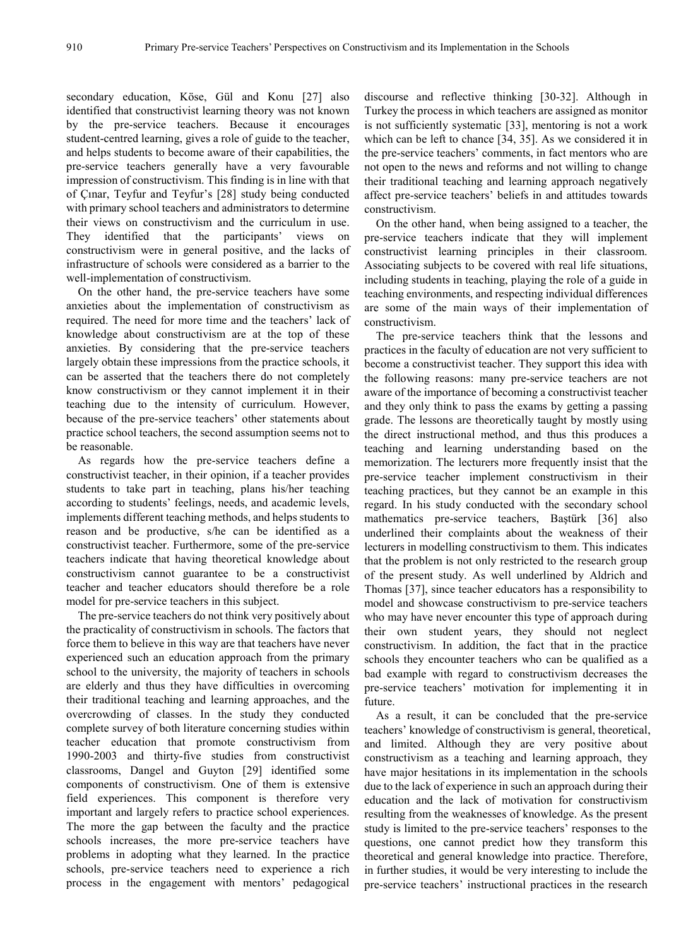secondary education, Köse, Gül and Konu [27] also identified that constructivist learning theory was not known by the pre-service teachers. Because it encourages student-centred learning, gives a role of guide to the teacher, and helps students to become aware of their capabilities, the pre-service teachers generally have a very favourable impression of constructivism. This finding is in line with that of Çınar, Teyfur and Teyfur's [28] study being conducted with primary school teachers and administrators to determine their views on constructivism and the curriculum in use. They identified that the participants' views on constructivism were in general positive, and the lacks of infrastructure of schools were considered as a barrier to the well-implementation of constructivism.

On the other hand, the pre-service teachers have some anxieties about the implementation of constructivism as required. The need for more time and the teachers' lack of knowledge about constructivism are at the top of these anxieties. By considering that the pre-service teachers largely obtain these impressions from the practice schools, it can be asserted that the teachers there do not completely know constructivism or they cannot implement it in their teaching due to the intensity of curriculum. However, because of the pre-service teachers' other statements about practice school teachers, the second assumption seems not to be reasonable.

As regards how the pre-service teachers define a constructivist teacher, in their opinion, if a teacher provides students to take part in teaching, plans his/her teaching according to students' feelings, needs, and academic levels, implements different teaching methods, and helps students to reason and be productive, s/he can be identified as a constructivist teacher. Furthermore, some of the pre-service teachers indicate that having theoretical knowledge about constructivism cannot guarantee to be a constructivist teacher and teacher educators should therefore be a role model for pre-service teachers in this subject.

The pre-service teachers do not think very positively about the practicality of constructivism in schools. The factors that force them to believe in this way are that teachers have never experienced such an education approach from the primary school to the university, the majority of teachers in schools are elderly and thus they have difficulties in overcoming their traditional teaching and learning approaches, and the overcrowding of classes. In the study they conducted complete survey of both literature concerning studies within teacher education that promote constructivism from 1990-2003 and thirty-five studies from constructivist classrooms, Dangel and Guyton [29] identified some components of constructivism. One of them is extensive field experiences. This component is therefore very important and largely refers to practice school experiences. The more the gap between the faculty and the practice schools increases, the more pre-service teachers have problems in adopting what they learned. In the practice schools, pre-service teachers need to experience a rich process in the engagement with mentors' pedagogical

discourse and reflective thinking [30-32]. Although in Turkey the process in which teachers are assigned as monitor is not sufficiently systematic [33], mentoring is not a work which can be left to chance [34, 35]. As we considered it in the pre-service teachers' comments, in fact mentors who are not open to the news and reforms and not willing to change their traditional teaching and learning approach negatively affect pre-service teachers' beliefs in and attitudes towards constructivism.

On the other hand, when being assigned to a teacher, the pre-service teachers indicate that they will implement constructivist learning principles in their classroom. Associating subjects to be covered with real life situations, including students in teaching, playing the role of a guide in teaching environments, and respecting individual differences are some of the main ways of their implementation of constructivism.

The pre-service teachers think that the lessons and practices in the faculty of education are not very sufficient to become a constructivist teacher. They support this idea with the following reasons: many pre-service teachers are not aware of the importance of becoming a constructivist teacher and they only think to pass the exams by getting a passing grade. The lessons are theoretically taught by mostly using the direct instructional method, and thus this produces a teaching and learning understanding based on the memorization. The lecturers more frequently insist that the pre-service teacher implement constructivism in their teaching practices, but they cannot be an example in this regard. In his study conducted with the secondary school mathematics pre-service teachers, Baştürk [36] also underlined their complaints about the weakness of their lecturers in modelling constructivism to them. This indicates that the problem is not only restricted to the research group of the present study. As well underlined by Aldrich and Thomas [37], since teacher educators has a responsibility to model and showcase constructivism to pre-service teachers who may have never encounter this type of approach during their own student years, they should not neglect constructivism. In addition, the fact that in the practice schools they encounter teachers who can be qualified as a bad example with regard to constructivism decreases the pre-service teachers' motivation for implementing it in future.

As a result, it can be concluded that the pre-service teachers' knowledge of constructivism is general, theoretical, and limited. Although they are very positive about constructivism as a teaching and learning approach, they have major hesitations in its implementation in the schools due to the lack of experience in such an approach during their education and the lack of motivation for constructivism resulting from the weaknesses of knowledge. As the present study is limited to the pre-service teachers' responses to the questions, one cannot predict how they transform this theoretical and general knowledge into practice. Therefore, in further studies, it would be very interesting to include the pre-service teachers' instructional practices in the research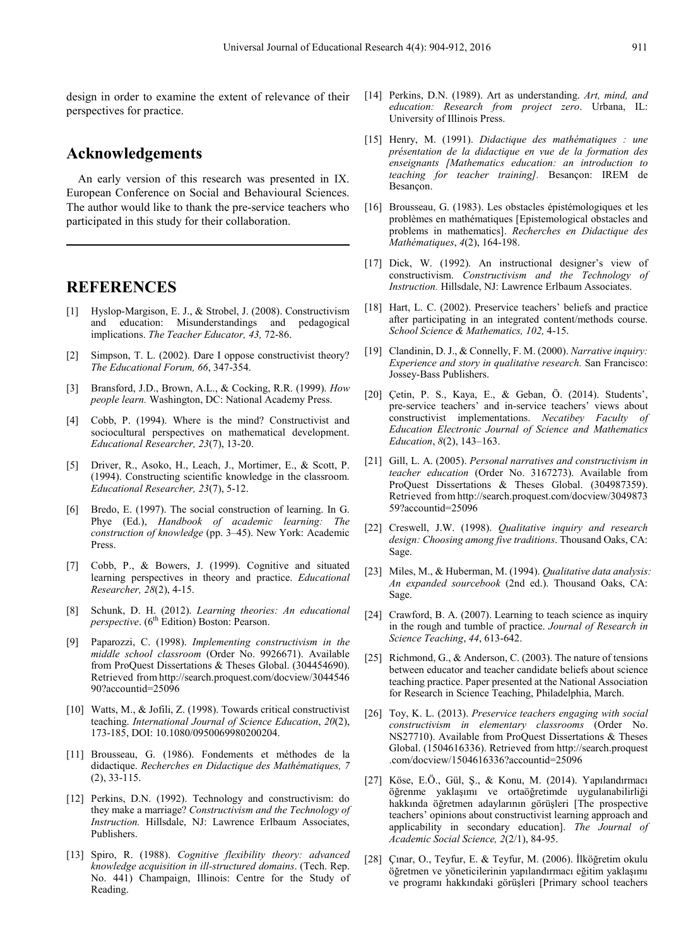design in order to examine the extent of relevance of their perspectives for practice.

## **Acknowledgements**

An early version of this research was presented in IX. European Conference on Social and Behavioural Sciences. The author would like to thank the pre-service teachers who participated in this study for their collaboration.

### **REFERENCES**

- [1] Hyslop-Margison, E. J., & Strobel, J. (2008). Constructivism and education: Misunderstandings and pedagogical implications. *The Teacher Educator, 43,* 72-86.
- [2] Simpson, T. L. (2002). Dare I oppose constructivist theory? *The Educational Forum, 66*, 347-354.
- [3] Bransford, J.D., Brown, A.L., & Cocking, R.R. (1999). *How people learn.* Washington, DC: National Academy Press.
- [4] Cobb, P. (1994). Where is the mind? Constructivist and sociocultural perspectives on mathematical development. *Educational Researcher, 23*(7), 13-20.
- [5] Driver, R., Asoko, H., Leach, J., Mortimer, E., & Scott, P. (1994). Constructing scientific knowledge in the classroom. *Educational Researcher, 23*(7), 5-12.
- [6] Bredo, E. (1997). The social construction of learning. In G. Phye (Ed.), *Handbook of academic learning: The construction of knowledge* (pp. 3–45). New York: Academic Press.
- [7] Cobb, P., & Bowers, J. (1999). Cognitive and situated learning perspectives in theory and practice. *Educational Researcher, 28*(2), 4-15.
- [8] Schunk, D. H. (2012). *Learning theories: An educational perspective.* (6<sup>th</sup> Edition) Boston: Pearson.
- [9] Paparozzi, C. (1998). *Implementing constructivism in the middle school classroom* (Order No. 9926671). Available from ProQuest Dissertations & Theses Global. (304454690). Retrieved fro[m](http://search.proquest.com/docview/304454690?accountid=25096) [http://search.proquest.com/docview/3044546](http://search.proquest.com/docview/304454690?accountid=25096) [90?accountid=25096](http://search.proquest.com/docview/304454690?accountid=25096)
- [10] Watts, M., & Jofili, Z. (1998). Towards critical constructivist teaching. *International Journal of Science Education*, *20*(2), 173-185, DOI: 10.1080/0950069980200204.
- [11] Brousseau, G. (1986). Fondements et méthodes de la didactique. *Recherches en Didactique des Mathématiques, 7* (2), 33-115.
- [12] Perkins, D.N. (1992). Technology and constructivism: do they make a marriage? *Constructivism and the Technology of Instruction.* Hillsdale, NJ: Lawrence Erlbaum Associates, Publishers.
- [13] Spiro, R. (1988). *Cognitive flexibility theory: advanced knowledge acquisition in ill-structured domains*. (Tech. Rep. No. 441) Champaign, Illinois: Centre for the Study of Reading.
- [14] Perkins, D.N. (1989). Art as understanding. *Art, mind, and education: Research from project zero*. Urbana, IL: University of Illinois Press.
- [15] Henry, M. (1991). *Didactique des mathématiques : une présentation de la didactique en vue de la formation des enseignants [Mathematics education: an introduction to teaching for teacher training].* Besançon: IREM de Besançon.
- [16] Brousseau, G. (1983). Les obstacles épistémologiques et les problèmes en mathématiques [Epistemological obstacles and problems in mathematics]. *Recherches en Didactique des Mathématiques*, *4*(2), 164-198.
- [17] Dick, W. (1992). An instructional designer's view of constructivism. *Constructivism and the Technology of Instruction.* Hillsdale, NJ: Lawrence Erlbaum Associates.
- [18] Hart, L. C. (2002). Preservice teachers' beliefs and practice after participating in an integrated content/methods course. *School Science & Mathematics, 102,* 4-15.
- [19] Clandinin, D. J., & Connelly, F. M. (2000). *Narrative inquiry: Experience and story in qualitative research.* San Francisco: Jossey-Bass Publishers.
- [20] Çetin, P. S., Kaya, E., & Geban, Ö. (2014). Students', pre-service teachers' and in-service teachers' views about constructivist implementations. *Necatibey Faculty of Education Electronic Journal of Science and Mathematics Education*, *8*(2), 143–163.
- [21] Gill, L. A. (2005). *Personal narratives and constructivism in teacher education* (Order No. 3167273). Available from ProQuest Dissertations & Theses Global. (304987359). Retrieved fro[m](http://search.proquest.com/docview/304987359?accountid=25096) [http://search.proquest.com/docview/3049873](http://search.proquest.com/docview/304987359?accountid=25096) [59?accountid=25096](http://search.proquest.com/docview/304987359?accountid=25096)
- [22] Creswell, J.W. (1998). *Qualitative inquiry and research design: Choosing among five traditions*. Thousand Oaks, CA: Sage.
- [23] Miles, M., & Huberman, M. (1994). *Qualitative data analysis: An expanded sourcebook* (2nd ed.). Thousand Oaks, CA: Sage.
- [24] Crawford, B. A. (2007). Learning to teach science as inquiry in the rough and tumble of practice. *Journal of Research in Science Teaching*, *44*, 613-642.
- [25] Richmond, G., & Anderson, C. (2003). The nature of tensions between educator and teacher candidate beliefs about science teaching practice. Paper presented at the National Association for Research in Science Teaching, Philadelphia, March.
- [26] Toy, K. L. (2013). *Preservice teachers engaging with social constructivism in elementary classrooms* (Order No. NS27710). Available from ProQuest Dissertations & Theses Global. (1504616336). Retrieved fro[m](http://search.proquest.com/docview/1504616336?accountid=25096) [http://search.proquest](http://search.proquest.com/docview/1504616336?accountid=25096) [.com/docview/1504616336?accountid=25096](http://search.proquest.com/docview/1504616336?accountid=25096)
- [27] Köse, E.Ö., Gül, Ş., & Konu, M. (2014). Yapılandırmacı öğrenme yaklaşımı ve ortaöğretimde uygulanabilirliği hakkında öğretmen adaylarının görüşleri [The prospective teachers' opinions about constructivist learning approach and applicability in secondary education]. *The Journal of Academic Social Science, 2*(2/1), 84-95.
- [28] Çınar, O., Teyfur, E. & Teyfur, M. (2006). İlköğretim okulu öğretmen ve yöneticilerinin yapılandırmacı eğitim yaklaşımı ve programı hakkındaki görüşleri [Primary school teachers